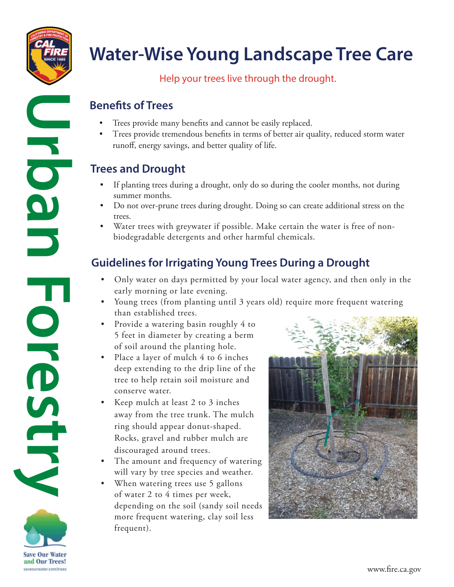

T

OKENSTRY

# **Water-Wise Young Landscape Tree Care**

#### Help your trees live through the drought.

## **Benefits of Trees**

- Trees provide many benefits and cannot be easily replaced.
- Trees provide tremendous benefts in terms of better air quality, reduced storm water runof, energy savings, and better quality of life.

# **Trees and Drought**

- If planting trees during a drought, only do so during the cooler months, not during summer months.
- Do not over-prune trees during drought. Doing so can create additional stress on the trees.
- biodegradable detergents and other harmful chemicals. Water trees with greywater if possible. Make certain the water is free of non-

# **Guidelines for Irrigating Young Trees During a Drought**

- Only water on days permitted by your local water agency, and then only in the early morning or late evening.
- Young trees (from planting until 3 years old) require more frequent watering than established trees.
- of soil around the planting hole. • Provide a watering basin roughly 4 to 5 feet in diameter by creating a berm
- Place a layer of mulch 4 to 6 inches deep extending to the drip line of the tree to help retain soil moisture and conserve water.
- Keep mulch at least 2 to 3 inches away from the tree trunk. The mulch ring should appear donut-shaped. Rocks, gravel and rubber mulch are discouraged around trees.
- The amount and frequency of watering will vary by tree species and weather.
- When watering trees use 5 gallons of water 2 to 4 times per week, depending on the soil (sandy soil needs more frequent watering, clay soil less frequent).